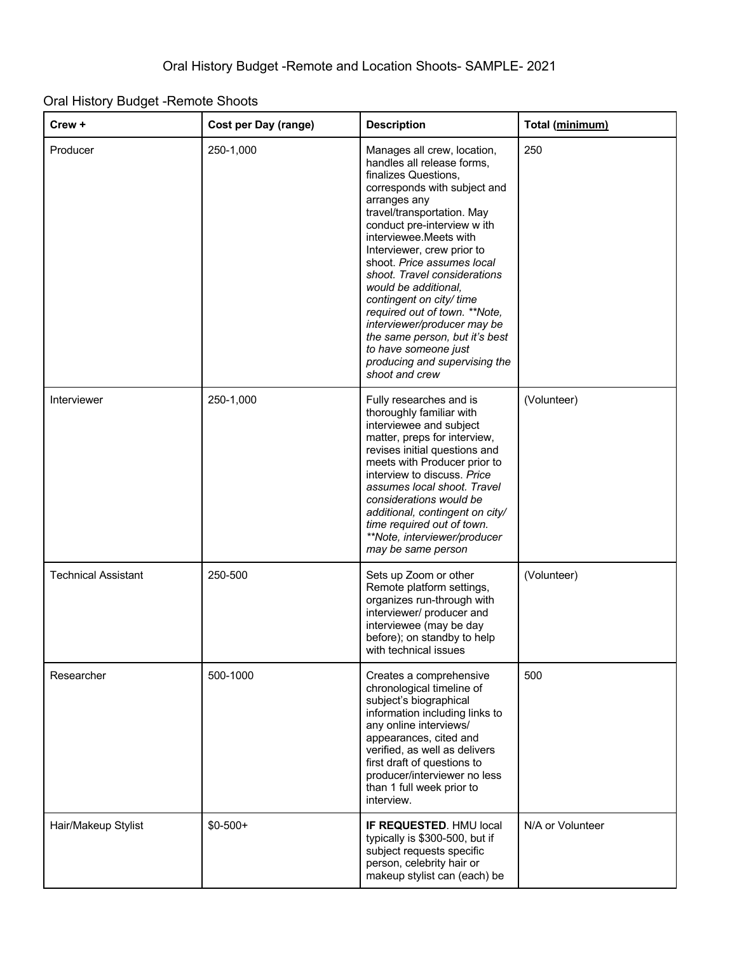## Oral History Budget -Remote Shoots

| $C$ rew +                  | <b>Cost per Day (range)</b> | <b>Description</b>                                                                                                                                                                                                                                                                                                                                                                                                                                                                                                                                     | Total (minimum)  |
|----------------------------|-----------------------------|--------------------------------------------------------------------------------------------------------------------------------------------------------------------------------------------------------------------------------------------------------------------------------------------------------------------------------------------------------------------------------------------------------------------------------------------------------------------------------------------------------------------------------------------------------|------------------|
| Producer                   | 250-1,000                   | Manages all crew, location,<br>handles all release forms,<br>finalizes Questions,<br>corresponds with subject and<br>arranges any<br>travel/transportation. May<br>conduct pre-interview w ith<br>interviewee. Meets with<br>Interviewer, crew prior to<br>shoot. Price assumes local<br>shoot. Travel considerations<br>would be additional.<br>contingent on city/ time<br>required out of town. **Note,<br>interviewer/producer may be<br>the same person, but it's best<br>to have someone just<br>producing and supervising the<br>shoot and crew | 250              |
| Interviewer                | 250-1,000                   | Fully researches and is<br>thoroughly familiar with<br>interviewee and subject<br>matter, preps for interview,<br>revises initial questions and<br>meets with Producer prior to<br>interview to discuss. Price<br>assumes local shoot. Travel<br>considerations would be<br>additional, contingent on city/<br>time required out of town.<br>**Note, interviewer/producer<br>may be same person                                                                                                                                                        | (Volunteer)      |
| <b>Technical Assistant</b> | 250-500                     | Sets up Zoom or other<br>Remote platform settings,<br>organizes run-through with<br>interviewer/ producer and<br>interviewee (may be day<br>before); on standby to help<br>with technical issues                                                                                                                                                                                                                                                                                                                                                       | (Volunteer)      |
| Researcher                 | 500-1000                    | Creates a comprehensive<br>chronological timeline of<br>subject's biographical<br>information including links to<br>any online interviews/<br>appearances, cited and<br>verified, as well as delivers<br>first draft of questions to<br>producer/interviewer no less<br>than 1 full week prior to<br>interview.                                                                                                                                                                                                                                        | 500              |
| Hair/Makeup Stylist        | $$0-500+$                   | IF REQUESTED. HMU local<br>typically is \$300-500, but if<br>subject requests specific<br>person, celebrity hair or<br>makeup stylist can (each) be                                                                                                                                                                                                                                                                                                                                                                                                    | N/A or Volunteer |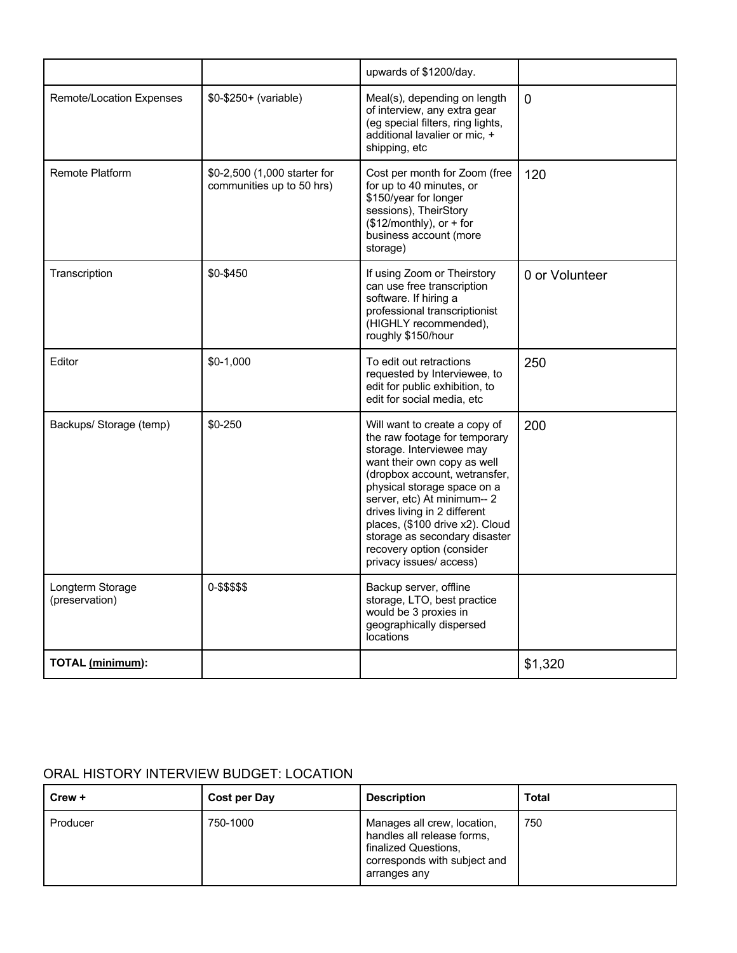|                                    |                                                           | upwards of \$1200/day.                                                                                                                                                                                                                                                                                                                                                               |                |
|------------------------------------|-----------------------------------------------------------|--------------------------------------------------------------------------------------------------------------------------------------------------------------------------------------------------------------------------------------------------------------------------------------------------------------------------------------------------------------------------------------|----------------|
| <b>Remote/Location Expenses</b>    | \$0-\$250+ (variable)                                     | Meal(s), depending on length<br>of interview, any extra gear<br>(eg special filters, ring lights,<br>additional lavalier or mic, +<br>shipping, etc                                                                                                                                                                                                                                  | $\mathbf{0}$   |
| Remote Platform                    | \$0-2,500 (1,000 starter for<br>communities up to 50 hrs) | Cost per month for Zoom (free<br>for up to 40 minutes, or<br>\$150/year for longer<br>sessions), TheirStory<br>$($12/monthly)$ , or + for<br>business account (more<br>storage)                                                                                                                                                                                                      | 120            |
| Transcription                      | \$0-\$450                                                 | If using Zoom or Theirstory<br>can use free transcription<br>software. If hiring a<br>professional transcriptionist<br>(HIGHLY recommended),<br>roughly \$150/hour                                                                                                                                                                                                                   | 0 or Volunteer |
| Editor                             | $$0-1,000$                                                | To edit out retractions<br>requested by Interviewee, to<br>edit for public exhibition, to<br>edit for social media, etc                                                                                                                                                                                                                                                              | 250            |
| Backups/ Storage (temp)            | $$0-250$                                                  | Will want to create a copy of<br>the raw footage for temporary<br>storage. Interviewee may<br>want their own copy as well<br>(dropbox account, wetransfer,<br>physical storage space on a<br>server, etc) At minimum-- 2<br>drives living in 2 different<br>places, (\$100 drive x2). Cloud<br>storage as secondary disaster<br>recovery option (consider<br>privacy issues/ access) | 200            |
| Longterm Storage<br>(preservation) | 0-\$\$\$\$\$                                              | Backup server, offline<br>storage, LTO, best practice<br>would be 3 proxies in<br>geographically dispersed<br>locations                                                                                                                                                                                                                                                              |                |
| TOTAL (minimum):                   |                                                           |                                                                                                                                                                                                                                                                                                                                                                                      | \$1,320        |

## ORAL HISTORY INTERVIEW BUDGET: LOCATION

| Crew +   | Cost per Day | <b>Description</b>                                                                                                                | Total |
|----------|--------------|-----------------------------------------------------------------------------------------------------------------------------------|-------|
| Producer | 750-1000     | Manages all crew, location,<br>handles all release forms,<br>finalized Questions,<br>corresponds with subject and<br>arranges any | 750   |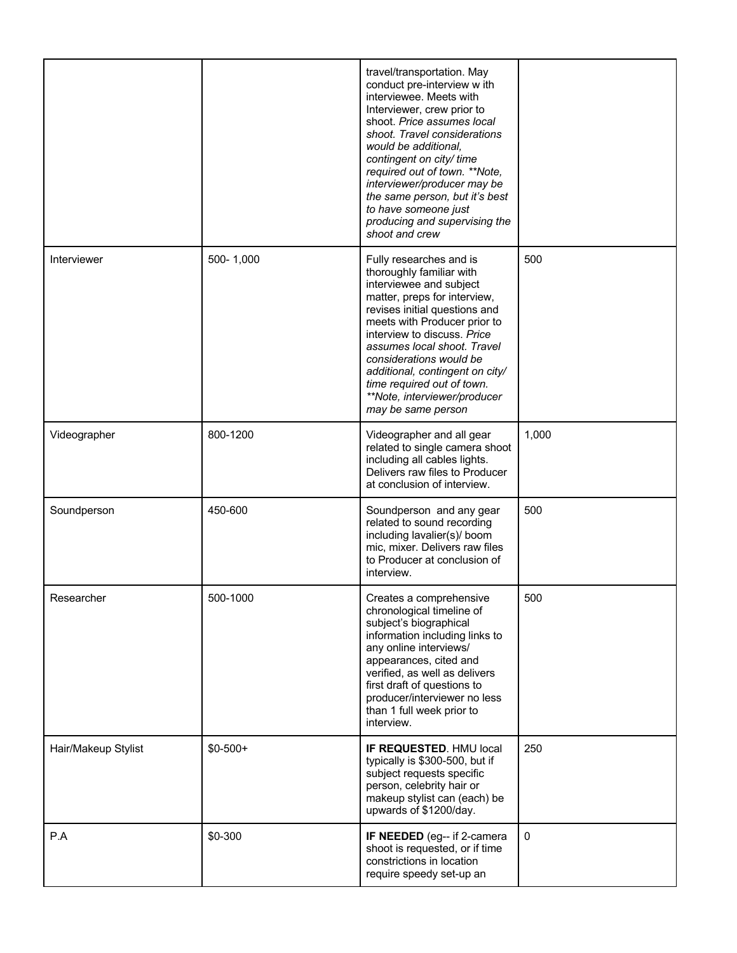|                     |           | travel/transportation. May<br>conduct pre-interview w ith<br>interviewee. Meets with<br>Interviewer, crew prior to<br>shoot. Price assumes local<br>shoot. Travel considerations<br>would be additional,<br>contingent on city/ time<br>required out of town. **Note,<br>interviewer/producer may be<br>the same person, but it's best<br>to have someone just<br>producing and supervising the<br>shoot and crew |             |
|---------------------|-----------|-------------------------------------------------------------------------------------------------------------------------------------------------------------------------------------------------------------------------------------------------------------------------------------------------------------------------------------------------------------------------------------------------------------------|-------------|
| Interviewer         | 500-1,000 | Fully researches and is<br>thoroughly familiar with<br>interviewee and subject<br>matter, preps for interview,<br>revises initial questions and<br>meets with Producer prior to<br>interview to discuss. Price<br>assumes local shoot. Travel<br>considerations would be<br>additional, contingent on city/<br>time required out of town.<br>**Note, interviewer/producer<br>may be same person                   | 500         |
| Videographer        | 800-1200  | Videographer and all gear<br>related to single camera shoot<br>including all cables lights.<br>Delivers raw files to Producer<br>at conclusion of interview.                                                                                                                                                                                                                                                      | 1,000       |
| Soundperson         | 450-600   | Soundperson and any gear<br>related to sound recording<br>including lavalier(s)/ boom<br>mic, mixer. Delivers raw files<br>to Producer at conclusion of<br>interview.                                                                                                                                                                                                                                             | 500         |
| Researcher          | 500-1000  | Creates a comprehensive<br>chronological timeline of<br>subject's biographical<br>information including links to<br>any online interviews/<br>appearances, cited and<br>verified, as well as delivers<br>first draft of questions to<br>producer/interviewer no less<br>than 1 full week prior to<br>interview.                                                                                                   | 500         |
| Hair/Makeup Stylist | $$0-500+$ | IF REQUESTED. HMU local<br>typically is \$300-500, but if<br>subject requests specific<br>person, celebrity hair or<br>makeup stylist can (each) be<br>upwards of \$1200/day.                                                                                                                                                                                                                                     | 250         |
| P.A                 | \$0-300   | IF NEEDED (eg-- if 2-camera<br>shoot is requested, or if time<br>constrictions in location<br>require speedy set-up an                                                                                                                                                                                                                                                                                            | $\mathbf 0$ |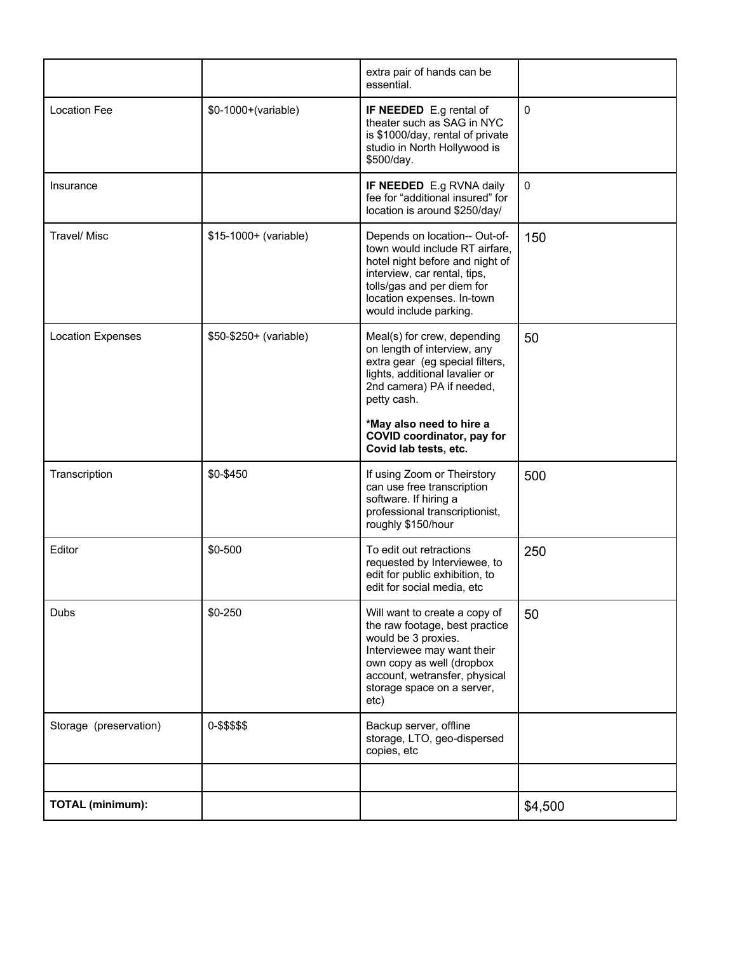|                          |                        | extra pair of hands can be<br>essential.                                                                                                                                                                                 |         |
|--------------------------|------------------------|--------------------------------------------------------------------------------------------------------------------------------------------------------------------------------------------------------------------------|---------|
| <b>Location Fee</b>      | \$0-1000+(variable)    | <b>IF NEEDED</b> E.g rental of<br>theater such as SAG in NYC<br>is \$1000/day, rental of private<br>studio in North Hollywood is<br>\$500/day.                                                                           | 0       |
| Insurance                |                        | <b>IF NEEDED</b> E.g RVNA daily<br>fee for "additional insured" for<br>location is around \$250/day/                                                                                                                     | 0       |
| <b>Travel/Misc</b>       | \$15-1000+ (variable)  | Depends on location-- Out-of-<br>town would include RT airfare,<br>hotel night before and night of<br>interview, car rental, tips,<br>tolls/gas and per diem for<br>location expenses. In-town<br>would include parking. | 150     |
| <b>Location Expenses</b> | \$50-\$250+ (variable) | Meal(s) for crew, depending<br>on length of interview, any<br>extra gear (eg special filters,<br>lights, additional lavalier or<br>2nd camera) PA if needed,<br>petty cash.                                              | 50      |
|                          |                        | *May also need to hire a<br>COVID coordinator, pay for<br>Covid lab tests, etc.                                                                                                                                          |         |
| Transcription            | \$0-\$450              | If using Zoom or Theirstory<br>can use free transcription<br>software. If hiring a<br>professional transcriptionist,<br>roughly \$150/hour                                                                               | 500     |
| Editor                   | \$0-500                | To edit out retractions<br>requested by Interviewee, to<br>edit for public exhibition, to<br>edit for social media, etc                                                                                                  | 250     |
| <b>Dubs</b>              | \$0-250                | Will want to create a copy of<br>the raw footage, best practice<br>would be 3 proxies.<br>Interviewee may want their<br>own copy as well (dropbox<br>account, wetransfer, physical<br>storage space on a server,<br>etc) | 50      |
| Storage (preservation)   | 0-\$\$\$\$\$           | Backup server, offline<br>storage, LTO, geo-dispersed<br>copies, etc                                                                                                                                                     |         |
|                          |                        |                                                                                                                                                                                                                          |         |
| <b>TOTAL (minimum):</b>  |                        |                                                                                                                                                                                                                          | \$4,500 |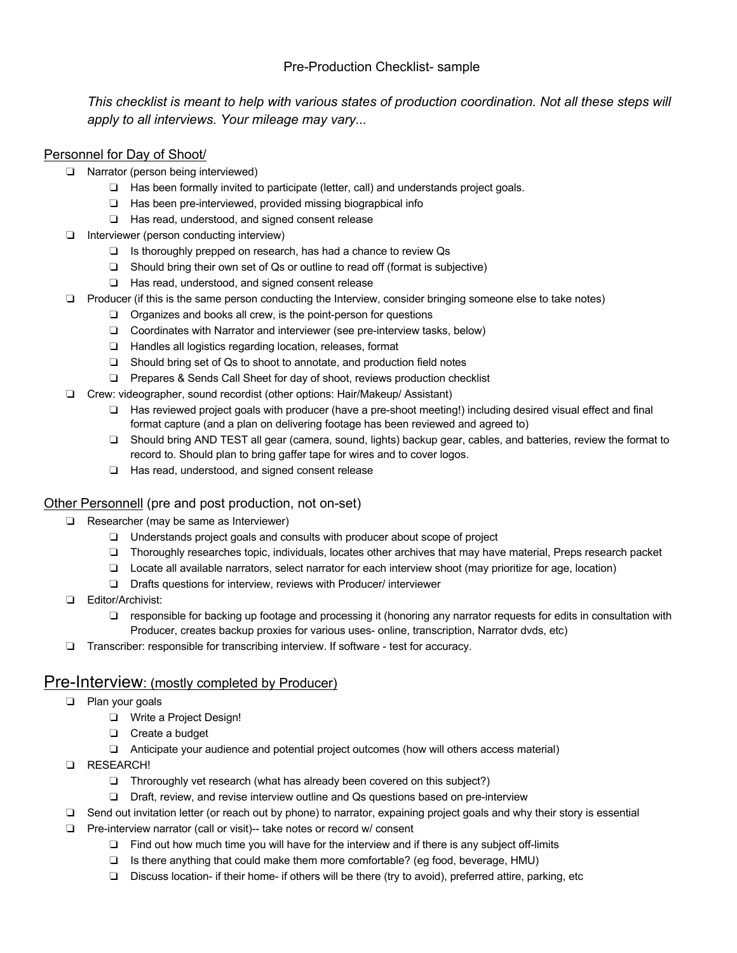### Pre-Production Checklist- sample

*This checklist is meant to help with various states of production coordination. Not all these steps will apply to all interviews. Your mileage may vary...*

### Personnel for Day of Shoot/

- ❏ Narrator (person being interviewed)
	- ❏ Has been formally invited to participate (letter, call) and understands project goals.
	- ❏ Has been pre-interviewed, provided missing biograpbical info
	- ❏ Has read, understood, and signed consent release
- ❏ Interviewer (person conducting interview)
	- ❏ Is thoroughly prepped on research, has had a chance to review Qs
	- ❏ Should bring their own set of Qs or outline to read off (format is subjective)
	- ❏ Has read, understood, and signed consent release
- ❏ Producer (if this is the same person conducting the Interview, consider bringing someone else to take notes)
	- ❏ Organizes and books all crew, is the point-person for questions
	- ❏ Coordinates with Narrator and interviewer (see pre-interview tasks, below)
	- ❏ Handles all logistics regarding location, releases, format
	- ❏ Should bring set of Qs to shoot to annotate, and production field notes
	- ❏ Prepares & Sends Call Sheet for day of shoot, reviews production checklist
- ❏ Crew: videographer, sound recordist (other options: Hair/Makeup/ Assistant)
	- ❏ Has reviewed project goals with producer (have a pre-shoot meeting!) including desired visual effect and final format capture (and a plan on delivering footage has been reviewed and agreed to)
	- ❏ Should bring AND TEST all gear (camera, sound, lights) backup gear, cables, and batteries, review the format to record to. Should plan to bring gaffer tape for wires and to cover logos.
	- ❏ Has read, understood, and signed consent release

### Other Personnell (pre and post production, not on-set)

- ❏ Researcher (may be same as Interviewer)
	- ❏ Understands project goals and consults with producer about scope of project
	- ❏ Thoroughly researches topic, individuals, locates other archives that may have material, Preps research packet
	- ❏ Locate all available narrators, select narrator for each interview shoot (may prioritize for age, location)
	- ❏ Drafts questions for interview, reviews with Producer/ interviewer
- ❏ Editor/Archivist:
	- ❏ responsible for backing up footage and processing it (honoring any narrator requests for edits in consultation with Producer, creates backup proxies for various uses- online, transcription, Narrator dvds, etc)
- ❏ Transcriber: responsible for transcribing interview. If software test for accuracy.

### Pre-Interview: (mostly completed by Producer)

- ❏ Plan your goals
	- ❏ Write a Project Design!
	- ❏ Create a budget
	- ❏ Anticipate your audience and potential project outcomes (how will others access material)
- ❏ RESEARCH!
	- ❏ Throroughly vet research (what has already been covered on this subject?)
	- ❏ Draft, review, and revise interview outline and Qs questions based on pre-interview
- ❏ Send out invitation letter (or reach out by phone) to narrator, expaining project goals and why their story is essential
- ❏ Pre-interview narrator (call or visit)-- take notes or record w/ consent
	- ❏ Find out how much time you will have for the interview and if there is any subject off-limits
	- ❏ Is there anything that could make them more comfortable? (eg food, beverage, HMU)
	- ❏ Discuss location- if their home- if others will be there (try to avoid), preferred attire, parking, etc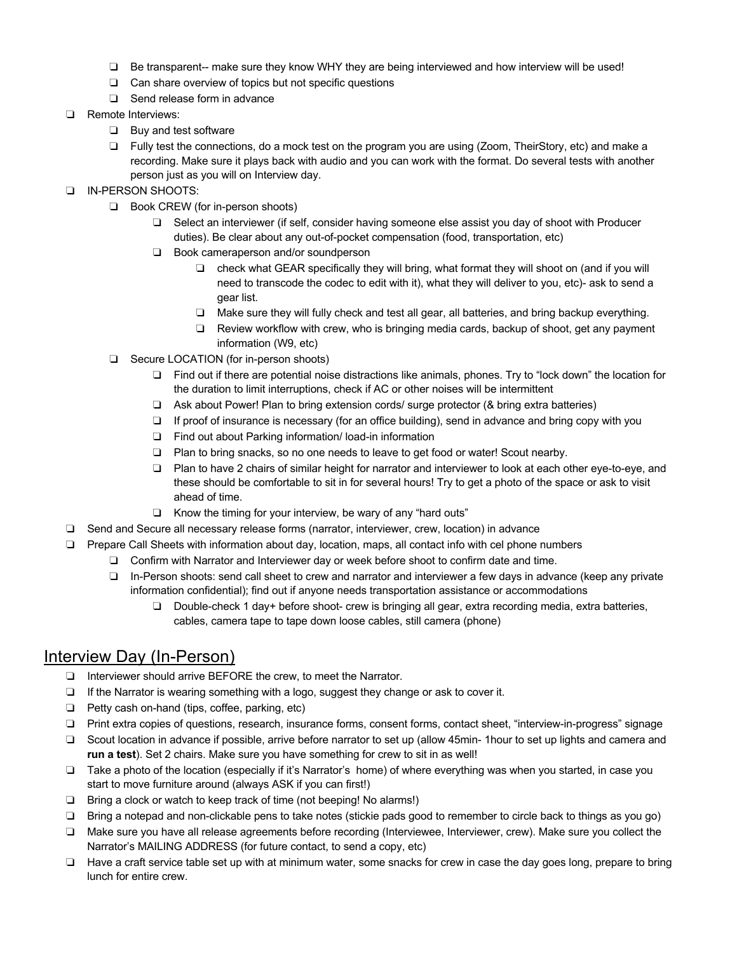- ❏ Be transparent-- make sure they know WHY they are being interviewed and how interview will be used!
- ❏ Can share overview of topics but not specific questions
- ❏ Send release form in advance
- ❏ Remote Interviews:
	- ❏ Buy and test software
	- ❏ Fully test the connections, do a mock test on the program you are using (Zoom, TheirStory, etc) and make a recording. Make sure it plays back with audio and you can work with the format. Do several tests with another person just as you will on Interview day.
- ❏ IN-PERSON SHOOTS:
	- ❏ Book CREW (for in-person shoots)
		- ❏ Select an interviewer (if self, consider having someone else assist you day of shoot with Producer duties). Be clear about any out-of-pocket compensation (food, transportation, etc)
		- ❏ Book cameraperson and/or soundperson
			- ❏ check what GEAR specifically they will bring, what format they will shoot on (and if you will need to transcode the codec to edit with it), what they will deliver to you, etc)- ask to send a gear list.
			- ❏ Make sure they will fully check and test all gear, all batteries, and bring backup everything.
			- ❏ Review workflow with crew, who is bringing media cards, backup of shoot, get any payment information (W9, etc)
	- ❏ Secure LOCATION (for in-person shoots)
		- ❏ Find out if there are potential noise distractions like animals, phones. Try to "lock down" the location for the duration to limit interruptions, check if AC or other noises will be intermittent
		- ❏ Ask about Power! Plan to bring extension cords/ surge protector (& bring extra batteries)
		- ❏ If proof of insurance is necessary (for an office building), send in advance and bring copy with you
		- ❏ Find out about Parking information/ load-in information
		- ❏ Plan to bring snacks, so no one needs to leave to get food or water! Scout nearby.
		- ❏ Plan to have 2 chairs of similar height for narrator and interviewer to look at each other eye-to-eye, and these should be comfortable to sit in for several hours! Try to get a photo of the space or ask to visit ahead of time.
		- ❏ Know the timing for your interview, be wary of any "hard outs"
- ❏ Send and Secure all necessary release forms (narrator, interviewer, crew, location) in advance
- ❏ Prepare Call Sheets with information about day, location, maps, all contact info with cel phone numbers
	- ❏ Confirm with Narrator and Interviewer day or week before shoot to confirm date and time.
	- ❏ In-Person shoots: send call sheet to crew and narrator and interviewer a few days in advance (keep any private information confidential); find out if anyone needs transportation assistance or accommodations
		- ❏ Double-check 1 day+ before shoot- crew is bringing all gear, extra recording media, extra batteries, cables, camera tape to tape down loose cables, still camera (phone)

# Interview Day (In-Person)

- ❏ Interviewer should arrive BEFORE the crew, to meet the Narrator.
- ❏ If the Narrator is wearing something with a logo, suggest they change or ask to cover it.
- ❏ Petty cash on-hand (tips, coffee, parking, etc)
- ❏ Print extra copies of questions, research, insurance forms, consent forms, contact sheet, "interview-in-progress" signage
- ❏ Scout location in advance if possible, arrive before narrator to set up (allow 45min- 1hour to set up lights and camera and **run a test**). Set 2 chairs. Make sure you have something for crew to sit in as well!
- ❏ Take a photo of the location (especially if it's Narrator's home) of where everything was when you started, in case you start to move furniture around (always ASK if you can first!)
- ❏ Bring a clock or watch to keep track of time (not beeping! No alarms!)
- ❏ Bring a notepad and non-clickable pens to take notes (stickie pads good to remember to circle back to things as you go)
- ❏ Make sure you have all release agreements before recording (Interviewee, Interviewer, crew). Make sure you collect the Narrator's MAILING ADDRESS (for future contact, to send a copy, etc)
- ❏ Have a craft service table set up with at minimum water, some snacks for crew in case the day goes long, prepare to bring lunch for entire crew.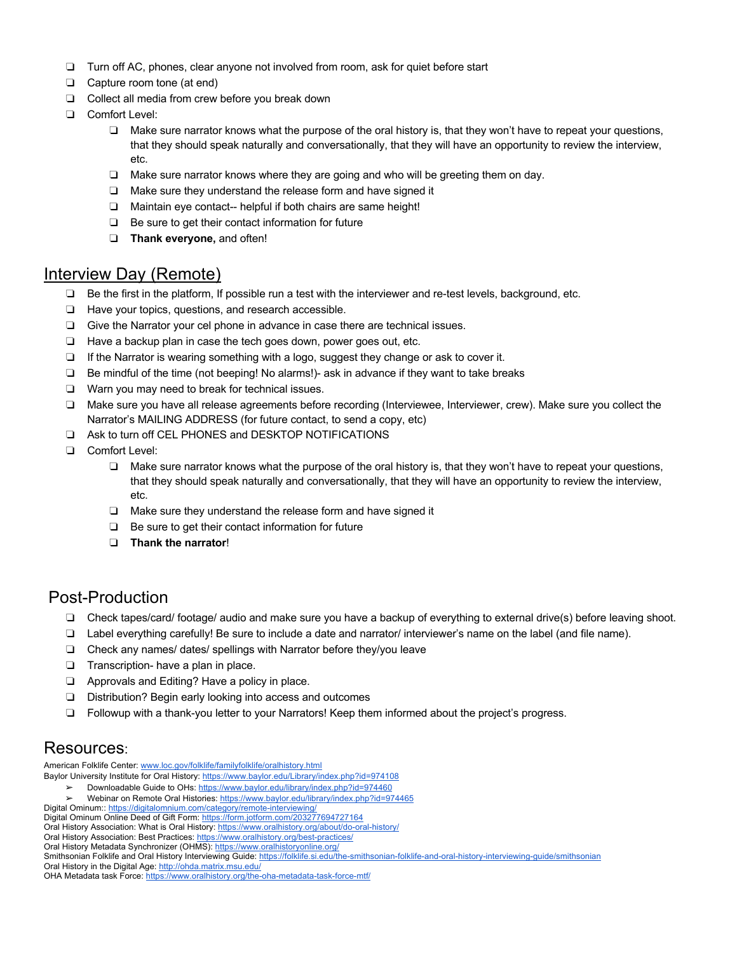- ❏ Turn off AC, phones, clear anyone not involved from room, ask for quiet before start
- ❏ Capture room tone (at end)
- ❏ Collect all media from crew before you break down
- ❏ Comfort Level:
	- ❏ Make sure narrator knows what the purpose of the oral history is, that they won't have to repeat your questions, that they should speak naturally and conversationally, that they will have an opportunity to review the interview, etc.
	- ❏ Make sure narrator knows where they are going and who will be greeting them on day.
	- ❏ Make sure they understand the release form and have signed it
	- ❏ Maintain eye contact-- helpful if both chairs are same height!
	- ❏ Be sure to get their contact information for future
	- ❏ **Thank everyone,** and often!

## Interview Day (Remote)

- ❏ Be the first in the platform, If possible run a test with the interviewer and re-test levels, background, etc.
- ❏ Have your topics, questions, and research accessible.
- ❏ Give the Narrator your cel phone in advance in case there are technical issues.
- ❏ Have a backup plan in case the tech goes down, power goes out, etc.
- ❏ If the Narrator is wearing something with a logo, suggest they change or ask to cover it.
- ❏ Be mindful of the time (not beeping! No alarms!)- ask in advance if they want to take breaks
- ❏ Warn you may need to break for technical issues.
- ❏ Make sure you have all release agreements before recording (Interviewee, Interviewer, crew). Make sure you collect the Narrator's MAILING ADDRESS (for future contact, to send a copy, etc)
- ❏ Ask to turn off CEL PHONES and DESKTOP NOTIFICATIONS
- ❏ Comfort Level:
	- ❏ Make sure narrator knows what the purpose of the oral history is, that they won't have to repeat your questions, that they should speak naturally and conversationally, that they will have an opportunity to review the interview, etc.
	- ❏ Make sure they understand the release form and have signed it
	- ❏ Be sure to get their contact information for future
	- ❏ **Thank the narrator**!

## Post-Production

- ❏ Check tapes/card/ footage/ audio and make sure you have a backup of everything to external drive(s) before leaving shoot.
- ❏ Label everything carefully! Be sure to include a date and narrator/ interviewer's name on the label (and file name).
- ❏ Check any names/ dates/ spellings with Narrator before they/you leave
- ❏ Transcription- have a plan in place.
- ❏ Approvals and Editing? Have a policy in place.
- ❏ Distribution? Begin early looking into access and outcomes
- ❏ Followup with a thank-you letter to your Narrators! Keep them informed about the project's progress.

## Resources:

American Folklife Center: www.loc.gov/folklife/familyfolklife/oralhistory.html

- Baylor University Institute for Oral History: https://www.baylor.edu/Library/index.php?id=974108
	- Downloadable Guide to OHs: https://www.baylor.edu/library/index.php?id=974460
	- Webinar on Remote Oral Histories: https://www.baylor.edu/library/index.php?id=974465

Digital Ominum:: https://digitalomnium.com/category/remote-interviewing/ Digital Ominum Online Deed of Gift Form: https://form.jotform.com/203277694727164

- Oral History Association: What is Oral History: https://www.oralhistory.org/about/do-oral-history/
- Oral History Association: Best Practices: https://www.oralhistory.org/best-practices/
- Oral History Metadata Synchronizer (OHMS): https://www.oralhistoryonline.org/

Smithsonian Folklife and Oral History Interviewing Guide: https://folklife.si.edu/the-smithsonian-folklife-and-oral-history-interviewing-quide/smithsonian

Oral History in the Digital Age: http://ohda.matrix.msu.edu/

OHA Metadata task Force: https://www.oralhistory.org/the-oha-metadata-task-force-mtf/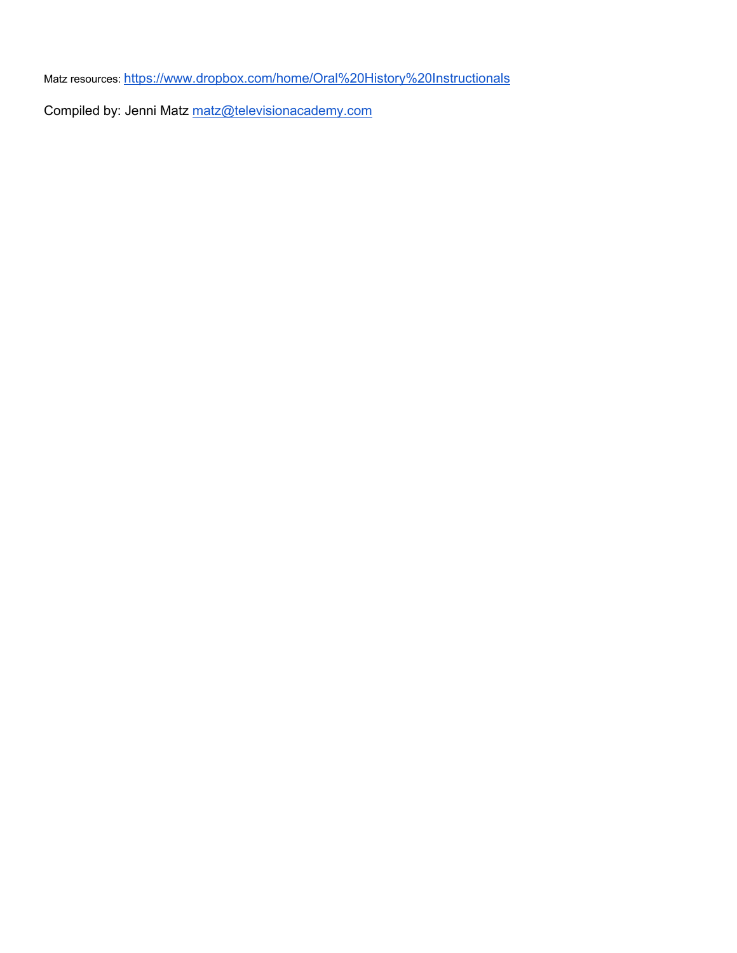Matz resources: https://www.dropbox.com/home/Oral%20History%20Instructionals

Compiled by: Jenni Matz matz@televisionacademy.com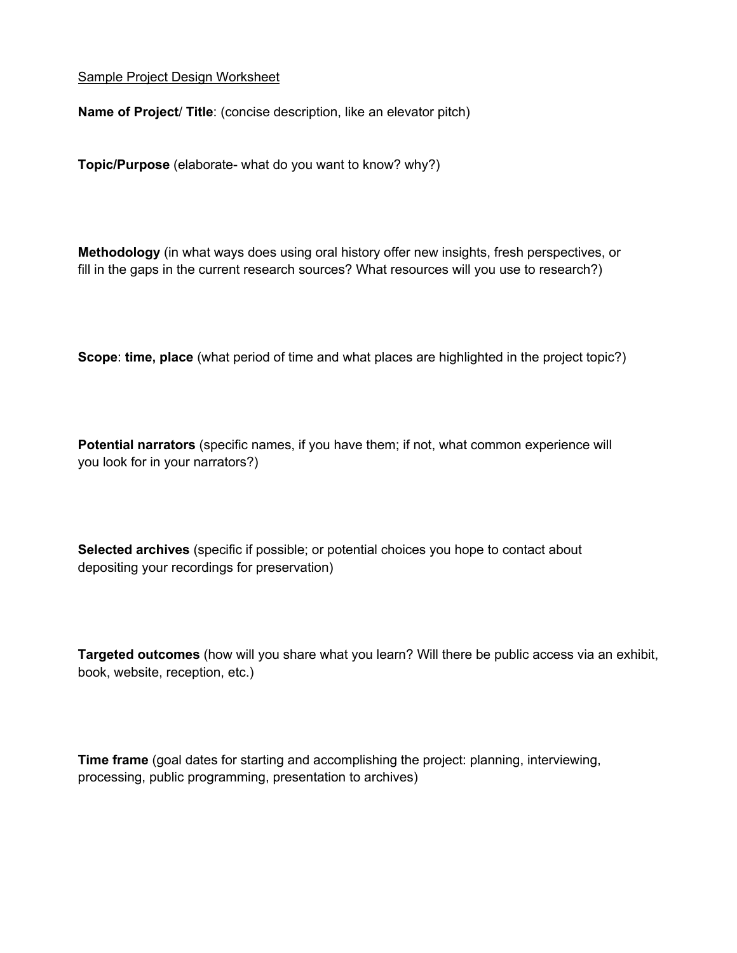#### Sample Project Design Worksheet

**Name of Project**/ **Title**: (concise description, like an elevator pitch)

**Topic/Purpose** (elaborate- what do you want to know? why?)

**Methodology** (in what ways does using oral history offer new insights, fresh perspectives, or fill in the gaps in the current research sources? What resources will you use to research?)

**Scope**: **time, place** (what period of time and what places are highlighted in the project topic?)

**Potential narrators** (specific names, if you have them; if not, what common experience will you look for in your narrators?)

**Selected archives** (specific if possible; or potential choices you hope to contact about depositing your recordings for preservation)

**Targeted outcomes** (how will you share what you learn? Will there be public access via an exhibit, book, website, reception, etc.)

**Time frame** (goal dates for starting and accomplishing the project: planning, interviewing, processing, public programming, presentation to archives)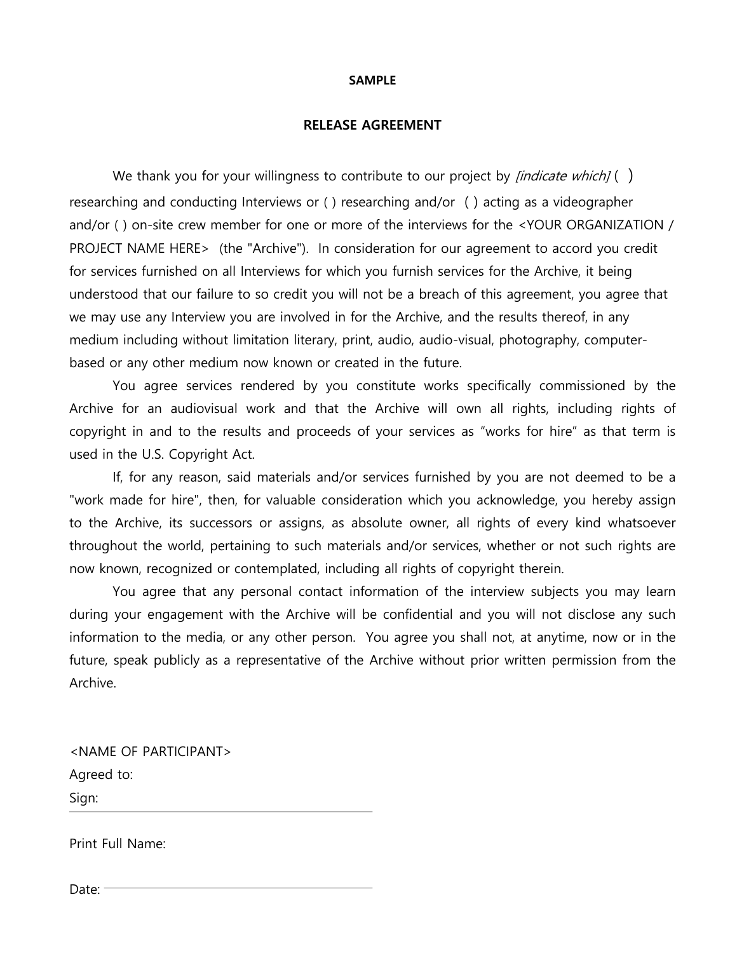#### **SAMPLE**

#### **RELEASE AGREEMENT**

We thank you for your willingness to contribute to our project by *[indicate which]* () researching and conducting Interviews or ( ) researching and/or ( ) acting as a videographer and/or ( ) on-site crew member for one or more of the interviews for the <YOUR ORGANIZATION / PROJECT NAME HERE> (the "Archive"). In consideration for our agreement to accord you credit for services furnished on all Interviews for which you furnish services for the Archive, it being understood that our failure to so credit you will not be a breach of this agreement, you agree that we may use any Interview you are involved in for the Archive, and the results thereof, in any medium including without limitation literary, print, audio, audio-visual, photography, computerbased or any other medium now known or created in the future.

You agree services rendered by you constitute works specifically commissioned by the Archive for an audiovisual work and that the Archive will own all rights, including rights of copyright in and to the results and proceeds of your services as "works for hire" as that term is used in the U.S. Copyright Act.

If, for any reason, said materials and/or services furnished by you are not deemed to be a "work made for hire", then, for valuable consideration which you acknowledge, you hereby assign to the Archive, its successors or assigns, as absolute owner, all rights of every kind whatsoever throughout the world, pertaining to such materials and/or services, whether or not such rights are now known, recognized or contemplated, including all rights of copyright therein.

You agree that any personal contact information of the interview subjects you may learn during your engagement with the Archive will be confidential and you will not disclose any such information to the media, or any other person. You agree you shall not, at anytime, now or in the future, speak publicly as a representative of the Archive without prior written permission from the Archive.

<NAME OF PARTICIPANT> Agreed to: Sign:

Print Full Name:

Date: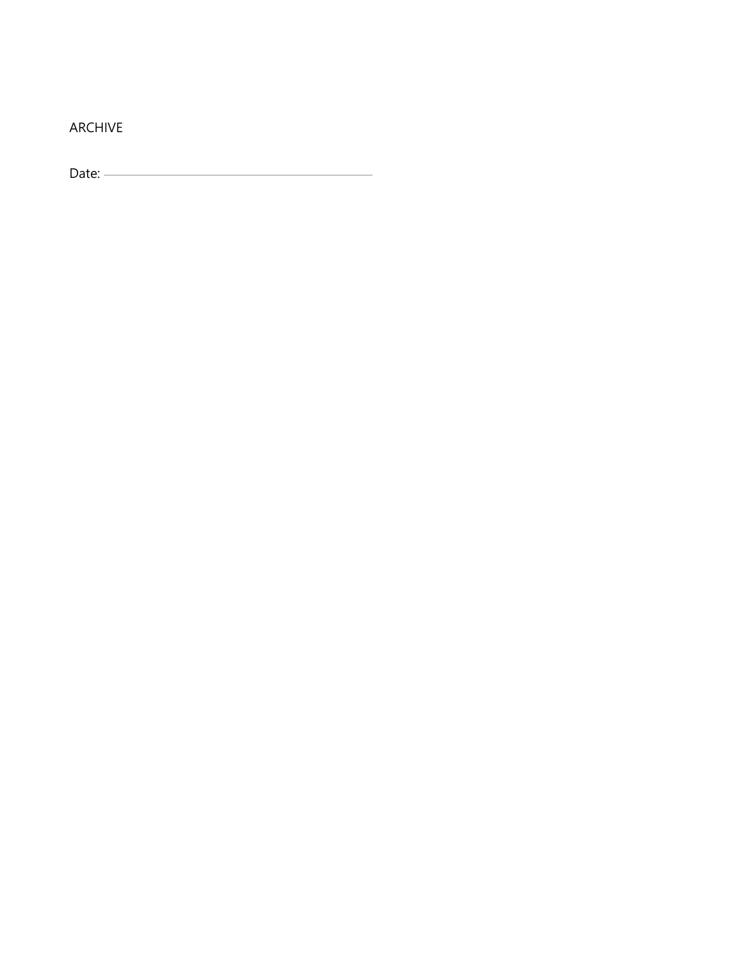ARCHIVE

Date: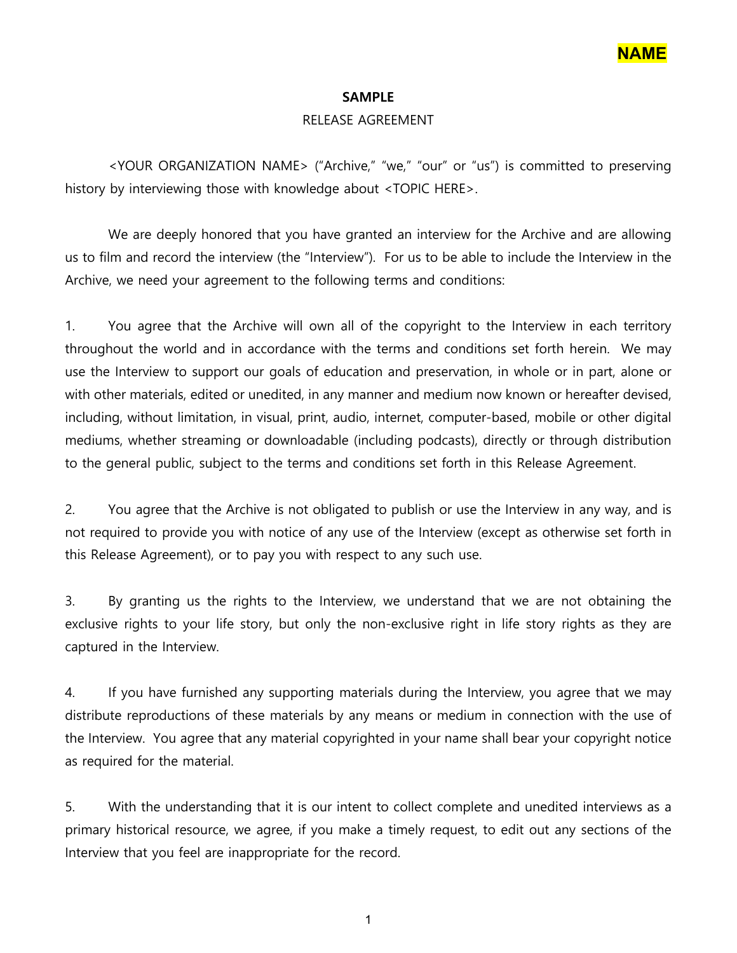

#### **SAMPLE**

### RELEASE AGREEMENT

<YOUR ORGANIZATION NAME> ("Archive," "we," "our" or "us") is committed to preserving history by interviewing those with knowledge about <TOPIC HERE>.

We are deeply honored that you have granted an interview for the Archive and are allowing us to film and record the interview (the "Interview"). For us to be able to include the Interview in the Archive, we need your agreement to the following terms and conditions:

1. You agree that the Archive will own all of the copyright to the Interview in each territory throughout the world and in accordance with the terms and conditions set forth herein. We may use the Interview to support our goals of education and preservation, in whole or in part, alone or with other materials, edited or unedited, in any manner and medium now known or hereafter devised, including, without limitation, in visual, print, audio, internet, computer-based, mobile or other digital mediums, whether streaming or downloadable (including podcasts), directly or through distribution to the general public, subject to the terms and conditions set forth in this Release Agreement.

2. You agree that the Archive is not obligated to publish or use the Interview in any way, and is not required to provide you with notice of any use of the Interview (except as otherwise set forth in this Release Agreement), or to pay you with respect to any such use.

3. By granting us the rights to the Interview, we understand that we are not obtaining the exclusive rights to your life story, but only the non-exclusive right in life story rights as they are captured in the Interview.

4. If you have furnished any supporting materials during the Interview, you agree that we may distribute reproductions of these materials by any means or medium in connection with the use of the Interview. You agree that any material copyrighted in your name shall bear your copyright notice as required for the material.

5. With the understanding that it is our intent to collect complete and unedited interviews as a primary historical resource, we agree, if you make a timely request, to edit out any sections of the Interview that you feel are inappropriate for the record.